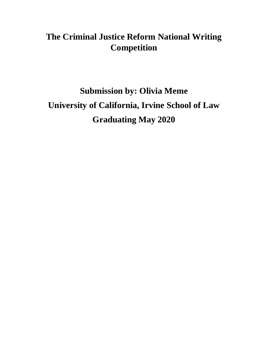## **The Criminal Justice Reform National Writing Competition**

# **Submission by: Olivia Meme University of California, Irvine School of Law Graduating May 2020**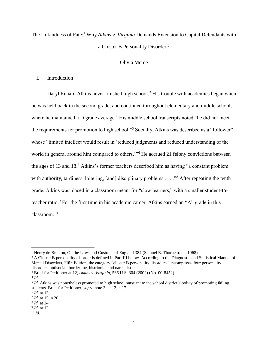### The Unkindness of Fate:<sup>1</sup> Why *Atkins v. Virginia* Demands Extension to Capital Defendants with a Cluster B Personality Disorder.<sup>2</sup>

#### Olivia Meme

#### I. Introduction

Daryl Renard Atkins never finished high school.<sup>3</sup> His trouble with academics began when he was held back in the second grade, and continued throughout elementary and middle school, where he maintained a D grade average.<sup>4</sup> His middle school transcripts noted "he did not meet the requirements for promotion to high school."<sup>5</sup> Socially, Atkins was described as a "follower" whose "limited intellect would result in 'reduced judgments and reduced understanding of the world in general around him compared to others."<sup>6</sup> He accrued 21 felony convictions between the ages of 13 and 18.<sup>7</sup> Atkins's former teachers described him as having "a constant problem with authority, tardiness, loitering, [and] disciplinary problems . . . . "<sup>8</sup> After repeating the tenth grade, Atkins was placed in a classroom meant for "slow learners," with a smaller student-toteacher ratio.<sup>9</sup> For the first time in his academic career, Atkins earned an "A" grade in this classroom.<sup>10</sup>

<sup>&</sup>lt;sup>1</sup> Henry de Bracton, On the Laws and Customs of England 384 (Samuel E. Thorne trans. 1968).

<sup>&</sup>lt;sup>2</sup> A Cluster B personality disorder is defined in Part III below. According to the Diagnostic and Statistical Manual of Mental Disorders, Fifth Edition, the category "cluster B personality disorders" encompasses four personality disorders: antisocial, borderline, histrionic, and narcissistic.

<sup>3</sup> Brief for Petitioner at 12, *Atkins v. Virginia,* 536 U.S. 304 (2002) (No. 00-8452).

<sup>4</sup> *Id.*

<sup>5</sup> *Id.* Atkins was nonetheless promoted to high school pursuant to the school district's policy of promoting failing students. Brief for Petitioner, *supra* note 3, at 12, n.17.

<sup>6</sup> *Id.* at 13.

<sup>7</sup> *Id.* at 15, n.20.

<sup>8</sup> *Id.* at 24.

<sup>9</sup> *Id.* at 12. <sup>10</sup> *Id.*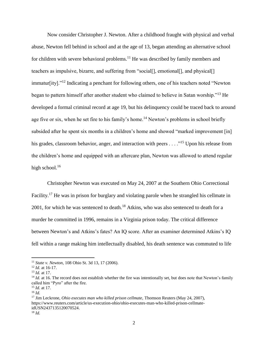Now consider Christopher J. Newton. After a childhood fraught with physical and verbal abuse, Newton fell behind in school and at the age of 13, began attending an alternative school for children with severe behavioral problems.<sup>11</sup> He was described by family members and teachers as impulsive, bizarre, and suffering from "social[], emotional[], and physical[] immatur[ity]."<sup>12</sup> Indicating a penchant for following others, one of his teachers noted "Newton began to pattern himself after another student who claimed to believe in Satan worship."<sup>13</sup> He developed a formal criminal record at age 19, but his delinquency could be traced back to around age five or six, when he set fire to his family's home.<sup>14</sup> Newton's problems in school briefly subsided after he spent six months in a children's home and showed "marked improvement [in] his grades, classroom behavior, anger, and interaction with peers . . . .<sup>"15</sup> Upon his release from the children's home and equipped with an aftercare plan, Newton was allowed to attend regular high school. $16$ 

Christopher Newton was executed on May 24, 2007 at the Southern Ohio Correctional Facility.<sup>17</sup> He was in prison for burglary and violating parole when he strangled his cellmate in  $2001$ , for which he was sentenced to death.<sup>18</sup> Atkins, who was also sentenced to death for a murder he committed in 1996, remains in a Virginia prison today. The critical difference between Newton's and Atkins's fates? An IQ score. After an examiner determined Atkins's IQ fell within a range making him intellectually disabled, his death sentence was commuted to life

<sup>11</sup> *State v. Newton,* 108 Ohio St. 3d 13, 17 (2006).

<sup>12</sup> *Id.* at 16-17.

<sup>13</sup> *Id.* at 17.

<sup>&</sup>lt;sup>14</sup> *Id.* at 16. The record does not establish whether the fire was intentionally set, but does note that Newton's family called him "Pyro" after the fire.

<sup>15</sup> *Id.* at 17.

<sup>16</sup> *Id.*

<sup>17</sup> Jim Leckrone, *Ohio executes man who killed prison cellmate,* Thomson Reuters (May 24, 2007), https://www.reuters.com/article/us-execution-ohio/ohio-executes-man-who-killed-prison-cellmateidUSN2437135120070524. <sup>18</sup> *Id.*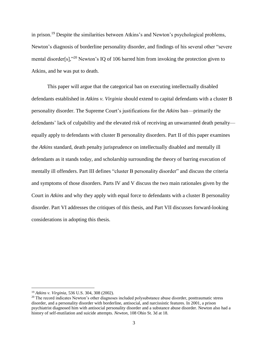in prison.<sup>19</sup> Despite the similarities between Atkins's and Newton's psychological problems, Newton's diagnosis of borderline personality disorder, and findings of his several other "severe mental disorder[s],"<sup>20</sup> Newton's IQ of 106 barred him from invoking the protection given to Atkins, and he was put to death.

This paper will argue that the categorical ban on executing intellectually disabled defendants established in *Atkins v. Virginia* should extend to capital defendants with a cluster B personality disorder. The Supreme Court's justifications for the *Atkins* ban—primarily the defendants' lack of culpability and the elevated risk of receiving an unwarranted death penalty equally apply to defendants with cluster B personality disorders. Part II of this paper examines the *Atkins* standard, death penalty jurisprudence on intellectually disabled and mentally ill defendants as it stands today, and scholarship surrounding the theory of barring execution of mentally ill offenders. Part III defines "cluster B personality disorder" and discuss the criteria and symptoms of those disorders. Parts IV and V discuss the two main rationales given by the Court in *Atkins* and why they apply with equal force to defendants with a cluster B personality disorder. Part VI addresses the critiques of this thesis, and Part VII discusses forward-looking considerations in adopting this thesis.

<sup>19</sup> *Atkins v. Virginia,* 536 U.S. 304, 308 (2002).

<sup>&</sup>lt;sup>20</sup> The record indicates Newton's other diagnoses included polysubstance abuse disorder, posttraumatic stress disorder, and a personality disorder with borderline, antisocial, and narcissistic features. In 2001, a prison psychiatrist diagnosed him with antisocial personality disorder and a substance abuse disorder. Newton also had a history of self-mutilation and suicide attempts. *Newton,* 108 Ohio St. 3d at 18.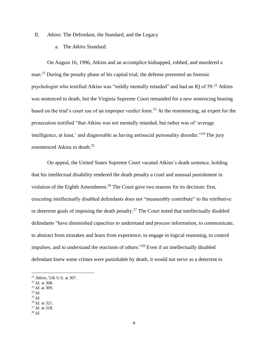II. *Atkins*: The Defendant, the Standard, and the Legacy

a. The *Atkins* Standard.

On August 16, 1996, Atkins and an accomplice kidnapped, robbed, and murdered a man.<sup>21</sup> During the penalty phase of his capital trial, the defense presented an forensic psychologist who testified Atkins was "mildly mentally retarded" and had an IQ of  $59<sup>22</sup>$  Atkins was sentenced to death, but the Virginia Supreme Court remanded for a new sentencing hearing based on the trial's court use of an improper verdict form.<sup>23</sup> At the resentencing, an expert for the prosecution testified "that Atkins was not mentally retarded, but rather was of 'average intelligence, at least,' and diagnosable as having antisocial personality disorder."<sup>24</sup> The jury resentenced Atkins to death.<sup>25</sup>

On appeal, the United States Supreme Court vacated Atkins's death sentence, holding that his intellectual disability rendered the death penalty a cruel and unusual punishment in violation of the Eighth Amendment.<sup>26</sup> The Court gave two reasons for its decision: first, executing intellectually disabled defendants does not "measurably contribute" to the retributive or deterrent goals of imposing the death penalty.<sup>27</sup> The Court noted that intellectually disabled defendants "have diminished capacities to understand and process information, to communicate, to abstract from mistakes and learn from experience, to engage in logical reasoning, to control impulses, and to understand the reactions of others."<sup>28</sup> Even if an intellectually disabled defendant knew some crimes were punishable by death, it would not serve as a deterrent to

<sup>23</sup> *Id.* at 309.

 $\overline{a}$ 

<sup>25</sup> *Id.*

<sup>27</sup> *Id.* at 318.

<sup>21</sup> *Atkins,* 536 U.S. at 307.

<sup>22</sup> *Id.* at 308.

<sup>24</sup> *Id.*

<sup>26</sup> *Id.* at 321.

<sup>28</sup> *Id.*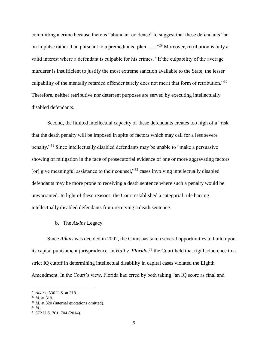committing a crime because there is "abundant evidence" to suggest that these defendants "act on impulse rather than pursuant to a premeditated plan . . . ."<sup>29</sup> Moreover, retribution is only a valid interest where a defendant is culpable for his crimes. "If the culpability of the average murderer is insufficient to justify the most extreme sanction available to the State, the lesser culpability of the mentally retarded offender surely does not merit that form of retribution."<sup>30</sup> Therefore, neither retributive nor deterrent purposes are served by executing intellectually disabled defendants.

Second, the limited intellectual capacity of these defendants creates too high of a "risk that the death penalty will be imposed in spite of factors which may call for a less severe penalty."<sup>31</sup> Since intellectually disabled defendants may be unable to "make a persuasive showing of mitigation in the face of prosecutorial evidence of one or more aggravating factors [or] give meaningful assistance to their counsel,"<sup>32</sup> cases involving intellectually disabled defendants may be more prone to receiving a death sentence where such a penalty would be unwarranted. In light of these reasons, the Court established a categorial rule barring intellectually disabled defendants from receiving a death sentence.

b. The *Atkins* Legacy.

Since *Atkins* was decided in 2002, the Court has taken several opportunities to build upon its capital punishment jurisprudence. In *Hall v. Florida,*<sup>33</sup> the Court held that rigid adherence to a strict IQ cutoff in determining intellectual disability in capital cases violated the Eighth Amendment. In the Court's view, Florida had erred by both taking "an IQ score as final and

<sup>29</sup> *Atkins,* 536 U.S. at 318.

<sup>30</sup> *Id.* at 319.

<sup>&</sup>lt;sup>31</sup> *Id.* at 320 (internal quotations omitted).

<sup>32</sup> *Id.*

<sup>33</sup> 572 U.S. 701, 704 (2014).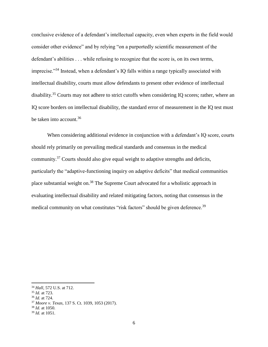conclusive evidence of a defendant's intellectual capacity, even when experts in the field would consider other evidence" and by relying "on a purportedly scientific measurement of the defendant's abilities . . . while refusing to recognize that the score is, on its own terms, imprecise."<sup>34</sup> Instead, when a defendant's IQ falls within a range typically associated with intellectual disability, courts must allow defendants to present other evidence of intellectual disability.<sup>35</sup> Courts may not adhere to strict cutoffs when considering IQ scores; rather, where an IQ score borders on intellectual disability, the standard error of measurement in the IQ test must be taken into account.<sup>36</sup>

When considering additional evidence in conjunction with a defendant's IQ score, courts should rely primarily on prevailing medical standards and consensus in the medical community.<sup>37</sup> Courts should also give equal weight to adaptive strengths and deficits, particularly the "adaptive-functioning inquiry on adaptive deficits" that medical communities place substantial weight on.<sup>38</sup> The Supreme Court advocated for a wholistic approach in evaluating intellectual disability and related mitigating factors, noting that consensus in the medical community on what constitutes "risk factors" should be given deference.<sup>39</sup>

 $\overline{\phantom{a}}$ 

<sup>36</sup> *Id.* at 724.

<sup>34</sup> *Hall,* 572 U.S. at 712.

<sup>35</sup> *Id.* at 723.

<sup>37</sup> *Moore v. Texas,* 137 S. Ct. 1039, 1053 (2017).

<sup>38</sup> *Id.* at 1050.

<sup>39</sup> *Id.* at 1051.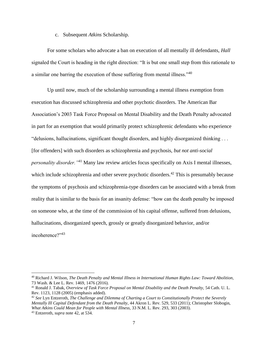c. Subsequent *Atkins* Scholarship.

For some scholars who advocate a ban on execution of all mentally ill defendants, *Hall* signaled the Court is heading in the right direction: "It is but one small step from this rationale to a similar one barring the execution of those suffering from mental illness."<sup>40</sup>

Up until now, much of the scholarship surrounding a mental illness exemption from execution has discussed schizophrenia and other psychotic disorders. The American Bar Association's 2003 Task Force Proposal on Mental Disability and the Death Penalty advocated in part for an exemption that would primarily protect schizophrenic defendants who experience "delusions, hallucinations, significant thought disorders, and highly disorganized thinking . . . [for offenders] with such disorders as schizophrenia and psychosis, *but not anti-social personality disorder."*<sup>41</sup> Many law review articles focus specifically on Axis I mental illnesses, which include schizophrenia and other severe psychotic disorders.<sup>42</sup> This is presumably because the symptoms of psychosis and schizophrenia-type disorders can be associated with a break from reality that is similar to the basis for an insanity defense: "how can the death penalty be imposed on someone who, at the time of the commission of his capital offense, suffered from delusions, hallucinations, disorganized speech, grossly or greatly disorganized behavior, and/or incoherence?"<sup>43</sup>

<sup>40</sup> Richard J. Wilson, *The Death Penalty and Mental Illness in International Human Rights Law: Toward Abolition,* 73 Wash. & Lee L. Rev. 1469, 1476 (2016).

<sup>41</sup> Ronald J. Tabak, *Overview of Task Force Proposal on Mental Disability and the Death Penalty,* 54 Cath. U. L. Rev. 1123, 1128 (2005) (emphasis added).

<sup>42</sup> *See* Lyn Entzeroth, *The Challenge and Dilemma of Charting a Court to Constitutionally Protect the Severely Mentally Ill Capital Defendant from the Death Penalty,* 44 Akron L. Rev. 529, 533 (2011); Christopher Slobogin, *What Atkins Could Mean for People with Mental Illness,* 33 N.M. L. Rev. 293, 303 (2003).

<sup>43</sup> Entzeroth, *supra* note 42, at 534.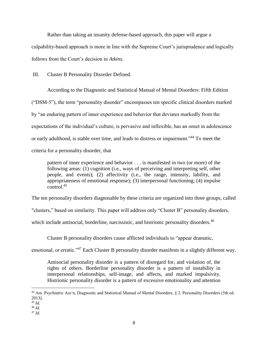Rather than taking an insanity defense-based approach, this paper will argue a culpability-based approach is more in line with the Supreme Court's jurisprudence and logically follows from the Court's decision in *Atkins.*

III. Cluster B Personality Disorder Defined.

According to the Diagnostic and Statistical Manual of Mental Disorders: Fifth Edition ("DSM-5"), the term "personality disorder" encompasses ten specific clinical disorders marked by "an enduring pattern of inner experience and behavior that deviates markedly from the expectations of the individual's culture, is pervasive and inflexible, has an onset in adolescence or early adulthood, is stable over time, and leads to distress or impairment."<sup>44</sup> To meet the criteria for a personality disorder, that

pattern of inner experience and behavior . . . is manifested in two (or more) of the following areas: (1) cognition (i.e., ways of perceiving and interpreting self, other people, and events); (2) affectivity (i.e., the range, intensity, lability, and appropriateness of emotional response); (3) interpersonal functioning; (4) impulse  $\frac{1}{\text{control}}$ <sup>45</sup>

The ten personality disorders diagnosable by these criteria are organized into three groups, called

"clusters," based on similarity. This paper will address only "Cluster B" personality disorders,

which include antisocial, borderline, narcissistic, and histrionic personality disorders.<sup>46</sup>

Cluster B personality disorders cause afflicted individuals to "appear dramatic,

emotional, or erratic."<sup>47</sup> Each Cluster B personality disorder manifests in a slightly different way.

Antisocial personality disorder is a pattern of disregard for, and violation of, the rights of others. Borderline personality disorder is a pattern of instability in interpersonal relationships, self-image, and affects, and marked impulsivity. Histrionic personality disorder is a pattern of excessive emotionality and attention

<sup>44</sup> Am. Psychiatric Ass'n, Diagnostic and Statistical Manual of Mental Disorders, § 2: Personality Disorders (5th ed. 2013).

<sup>45</sup> *Id.*

<sup>46</sup> *Id.*

<sup>47</sup> *Id*.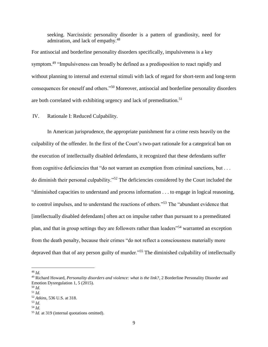seeking. Narcissistic personality disorder is a pattern of grandiosity, need for admiration, and lack of empathy.<sup>48</sup>

For antisocial and borderline personality disorders specifically, impulsiveness is a key symptom.<sup>49</sup> "Impulsiveness can broadly be defined as a predisposition to react rapidly and without planning to internal and external stimuli with lack of regard for short-term and long-term consequences for oneself and others."<sup>50</sup> Moreover, antisocial and borderline personality disorders are both correlated with exhibiting urgency and lack of premeditation.<sup>51</sup>

IV. Rationale I: Reduced Culpability.

In American jurisprudence, the appropriate punishment for a crime rests heavily on the culpability of the offender. In the first of the Court's two-part rationale for a categorical ban on the execution of intellectually disabled defendants, it recognized that these defendants suffer from cognitive deficiencies that "do not warrant an exemption from criminal sanctions, but . . . do diminish their personal culpability."<sup>52</sup> The deficiencies considered by the Court included the "diminished capacities to understand and process information . . . to engage in logical reasoning, to control impulses, and to understand the reactions of others."<sup>53</sup> The "abundant evidence that [intellectually disabled defendants] often act on impulse rather than pursuant to a premeditated plan, and that in group settings they are followers rather than leaders"<sup>54</sup> warranted an exception from the death penalty, because their crimes "do not reflect a consciousness materially more depraved than that of any person guilty of murder."<sup>55</sup> The diminished culpability of intellectually

<sup>48</sup> *Id.*

<sup>49</sup> Richard Howard, *Personality disorders and violence: what is the link?*, 2 Borderline Personality Disorder and Emotion Dysregulation 1, 5 (2015).

<sup>50</sup> *Id.*

<sup>51</sup> *Id.*

<sup>52</sup> *Atkins,* 536 U.S. at 318.

<sup>53</sup> *Id.*

<sup>54</sup> *Id.*

<sup>55</sup> *Id.* at 319 (internal quotations omitted).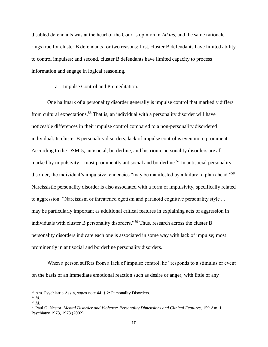disabled defendants was at the heart of the Court's opinion in *Atkins,* and the same rationale rings true for cluster B defendants for two reasons: first, cluster B defendants have limited ability to control impulses; and second, cluster B defendants have limited capacity to process information and engage in logical reasoning.

a. Impulse Control and Premeditation.

One hallmark of a personality disorder generally is impulse control that markedly differs from cultural expectations.<sup>56</sup> That is, an individual with a personality disorder will have noticeable differences in their impulse control compared to a non-personality disordered individual. In cluster B personality disorders, lack of impulse control is even more prominent. According to the DSM-5, antisocial, borderline, and histrionic personality disorders are all marked by impulsivity—most prominently antisocial and borderline.<sup>57</sup> In antisocial personality disorder, the individual's impulsive tendencies "may be manifested by a failure to plan ahead."<sup>58</sup> Narcissistic personality disorder is also associated with a form of impulsivity, specifically related to aggression: "Narcissism or threatened egotism and paranoid cognitive personality style . . . may be particularly important as additional critical features in explaining acts of aggression in individuals with cluster B personality disorders."<sup>59</sup> Thus, research across the cluster B personality disorders indicate each one is associated in some way with lack of impulse; most prominently in antisocial and borderline personality disorders.

When a person suffers from a lack of impulse control, he "responds to a stimulus or event on the basis of an immediate emotional reaction such as desire or anger, with little of any

<sup>56</sup> Am. Psychiatric Ass'n, *supra* note 44, § 2: Personality Disorders.

<sup>57</sup> *Id.*

<sup>58</sup> *Id.*

<sup>59</sup> Paul G. Nestor, *Mental Disorder and Violence: Personality Dimensions and Clinical Features,* 159 Am. J. Psychiatry 1973, 1973 (2002).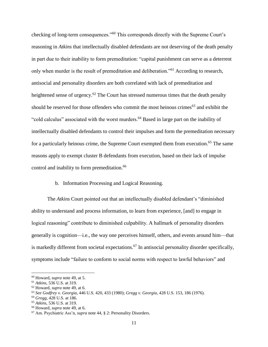checking of long-term consequences."<sup>60</sup> This corresponds directly with the Supreme Court's reasoning in *Atkins* that intellectually disabled defendants are not deserving of the death penalty in part due to their inability to form premeditation: "capital punishment can serve as a deterrent only when murder is the result of premeditation and deliberation."<sup>61</sup> According to research, antisocial and personality disorders are both correlated with lack of premeditation and heightened sense of urgency.<sup>62</sup> The Court has stressed numerous times that the death penalty should be reserved for those offenders who commit the most heinous crimes<sup>63</sup> and exhibit the "cold calculus" associated with the worst murders.<sup>64</sup> Based in large part on the inability of intellectually disabled defendants to control their impulses and form the premeditation necessary for a particularly heinous crime, the Supreme Court exempted them from execution.<sup>65</sup> The same reasons apply to exempt cluster B defendants from execution, based on their lack of impulse control and inability to form premeditation.<sup>66</sup>

#### b. Information Processing and Logical Reasoning.

The *Atkins* Court pointed out that an intellectually disabled defendant's "diminished ability to understand and process information, to learn from experience, [and] to engage in logical reasoning" contribute to diminished culpability. A hallmark of personality disorders generally is cognition—i.e., the way one perceives himself, others, and events around him—that is markedly different from societal expectations.<sup>67</sup> In antisocial personality disorder specifically, symptoms include "failure to conform to social norms with respect to lawful behaviors" and

<sup>60</sup> Howard, *supra* note 49, at 5.

<sup>61</sup> *Atkins,* 536 U.S. at 319.

<sup>62</sup> Howard, *supra* note 49, at 6.

<sup>63</sup> *See Godfrey v. Georgia,* 446 U.S. 420, 433 (1980); *Gregg v. Georgia*, 428 U.S. 153, 186 (1976).

<sup>64</sup> *Gregg,* 428 U.S. at 186.

<sup>65</sup> *Atkins,* 536 U.S. at 319.

<sup>66</sup> Howard, *supra* note 49, at 6.

<sup>67</sup> Am. Psychiatric Ass'n, *supra* note 44, § 2: Personality Disorders.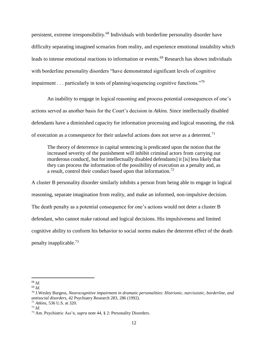persistent, extreme irresponsibility.<sup>68</sup> Individuals with borderline personality disorder have difficulty separating imagined scenarios from reality, and experience emotional instability which leads to intense emotional reactions to information or events.<sup>69</sup> Research has shown individuals with borderline personality disorders "have demonstrated significant levels of cognitive impairment . . . particularly in tests of planning/sequencing cognitive functions."<sup>70</sup>

An inability to engage in logical reasoning and process potential consequences of one's actions served as another basis for the Court's decision in *Atkins*. Since intellectually disabled defendants have a diminished capacity for information processing and logical reasoning, the risk of execution as a consequence for their unlawful actions does not serve as a deterrent.<sup>71</sup>

The theory of deterrence in capital sentencing is predicated upon the notion that the increased severity of the punishment will inhibit criminal actors from carrying out murderous conduct[, but for intellectually disabled defendants] it [is] less likely that they can process the information of the possibility of execution as a penalty and, as a result, control their conduct based upon that information.<sup>72</sup>

A cluster B personality disorder similarly inhibits a person from being able to engage in logical reasoning, separate imagination from reality, and make an informed, non-impulsive decision. The death penalty as a potential consequence for one's actions would not deter a cluster B defendant, who cannot make rational and logical decisions. His impulsiveness and limited cognitive ability to conform his behavior to social norms makes the deterrent effect of the death penalty inapplicable.<sup>73</sup>

 $\overline{\phantom{a}}$ <sup>68</sup> *Id.*

<sup>69</sup> *Id.*

<sup>70</sup> J.Wesley Burgess, *Neurocognitive impairment in dramatic personalities: Histrionic, narcissistic, borderline, and antisocial disorders*, 42 Psychiatry Research 283, 286 (1992).

<sup>71</sup> *Atkins,* 536 U.S. at 320.

<sup>72</sup> *Id.*

<sup>73</sup> Am. Psychiatric Ass'n, *supra* note 44, § 2: Personality Disorders.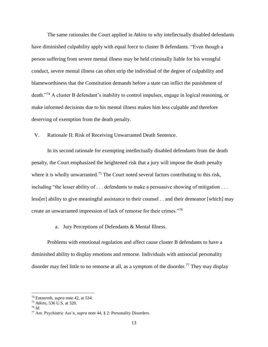The same rationales the Court applied in *Atkins* to why intellectually disabled defendants have diminished culpability apply with equal force to cluster B defendants. "Even though a person suffering from severe mental illness may be held criminally liable for his wrongful conduct, severe mental illness can often strip the individual of the degree of culpability and blameworthiness that the Constitution demands before a state can inflict the punishment of death."<sup>74</sup> A cluster B defendant's inability to control impulses, engage in logical reasoning, or make informed decisions due to his mental illness makes him less culpable and therefore deserving of exemption from the death penalty.

V. Rationale II: Risk of Receiving Unwarranted Death Sentence.

In its second rationale for exempting intellectually disabled defendants from the death penalty, the Court emphasized the heightened risk that a jury will impose the death penalty where it is wholly unwarranted.<sup>75</sup> The Court noted several factors contributing to this risk, including "the lesser ability of ... defendants to make a persuasive showing of mitigation ... less[er] ability to give meaningful assistance to their counsel . . and their demeanor [which] may create an unwarranted impression of lack of remorse for their crimes."<sup>76</sup>

a. Jury Perceptions of Defendants & Mental Illness.

Problems with emotional regulation and affect cause cluster B defendants to have a diminished ability to display emotions and remorse. Individuals with antisocial personality disorder may feel little to no remorse at all, as a symptom of the disorder.<sup>77</sup> They may display

<sup>74</sup> Entzeroth, *supra* note 42, at 534.

<sup>75</sup> *Atkins,* 536 U.S. at 320.

<sup>76</sup> *Id.*

<sup>77</sup> Am. Psychiatric Ass'n, *supra* note 44, § 2: Personality Disorders.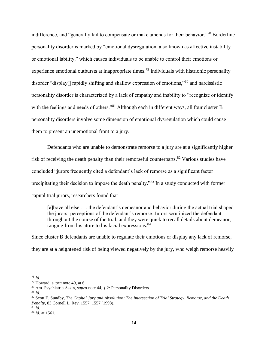indifference, and "generally fail to compensate or make amends for their behavior."<sup>78</sup> Borderline personality disorder is marked by "emotional dysregulation, also known as affective instability or emotional lability," which causes individuals to be unable to control their emotions or experience emotional outbursts at inappropriate times.<sup>79</sup> Individuals with histrionic personality disorder "display[] rapidly shifting and shallow expression of emotions,"<sup>80</sup> and narcissistic personality disorder is characterized by a lack of empathy and inability to "recognize or identify with the feelings and needs of others."<sup>81</sup> Although each in different ways, all four cluster B personality disorders involve some dimension of emotional dysregulation which could cause them to present an unemotional front to a jury.

Defendants who are unable to demonstrate remorse to a jury are at a significantly higher risk of receiving the death penalty than their remorseful counterparts.<sup>82</sup> Various studies have concluded "jurors frequently cited a defendant's lack of remorse as a significant factor precipitating their decision to impose the death penalty."<sup>83</sup> In a study conducted with former capital trial jurors, researchers found that

[a]bove all else . . . the defendant's demeanor and behavior during the actual trial shaped the jurors' perceptions of the defendant's remorse. Jurors scrutinized the defendant throughout the course of the trial, and they were quick to recall details about demeanor, ranging from his attire to his facial expressions.<sup>84</sup>

Since cluster B defendants are unable to regulate their emotions or display any lack of remorse, they are at a heightened risk of being viewed negatively by the jury, who weigh remorse heavily

<sup>78</sup> *Id.*

<sup>79</sup> Howard, *supra* note 49, at 6.

<sup>80</sup> Am. Psychiatric Ass'n, *supra* note 44, § 2: Personality Disorders.

<sup>81</sup> *Id.*

<sup>82</sup> Scott E. Sundby, *The Capital Jury and Absolution: The Intersection of Trial Strategy, Remorse, and the Death Penalty,* 83 Cornell L. Rev. 1557, 1557 (1998).

<sup>83</sup> *Id.*

<sup>84</sup> *Id.* at 1561.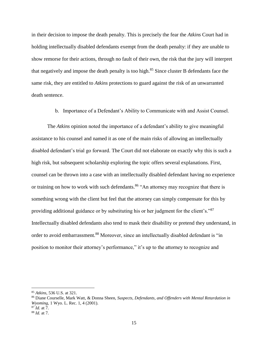in their decision to impose the death penalty. This is precisely the fear the *Atkins* Court had in holding intellectually disabled defendants exempt from the death penalty: if they are unable to show remorse for their actions, through no fault of their own, the risk that the jury will interpret that negatively and impose the death penalty is too high.<sup>85</sup> Since cluster B defendants face the same risk, they are entitled to *Atkins* protections to guard against the risk of an unwarranted death sentence.

b. Importance of a Defendant's Ability to Communicate with and Assist Counsel.

The *Atkins* opinion noted the importance of a defendant's ability to give meaningful assistance to his counsel and named it as one of the main risks of allowing an intellectually disabled defendant's trial go forward. The Court did not elaborate on exactly why this is such a high risk, but subsequent scholarship exploring the topic offers several explanations. First, counsel can be thrown into a case with an intellectually disabled defendant having no experience or training on how to work with such defendants.<sup>86</sup> "An attorney may recognize that there is something wrong with the client but feel that the attorney can simply compensate for this by providing additional guidance or by substituting his or her judgment for the client's."<sup>87</sup> Intellectually disabled defendants also tend to mask their disability or pretend they understand, in order to avoid embarrassment.<sup>88</sup> Moreover, since an intellectually disabled defendant is "in position to monitor their attorney's performance," it's up to the attorney to recognize and

<sup>85</sup> *Atkins,* 536 U.S. at 321.

<sup>86</sup> Diane Courselle, Mark Watt, & Donna Sheen, *Suspects, Defendants, and Offenders with Mental Retardation in Wyoming,* 1 Wyo. L. Rec. 1, 4 (2001).

<sup>87</sup> *Id.* at 7.

<sup>88</sup> *Id.* at 7.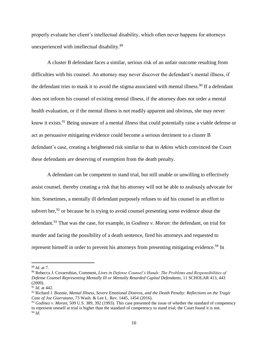properly evaluate her client's intellectual disability, which often never happens for attorneys unexperienced with intellectual disability.<sup>89</sup>

A cluster B defendant faces a similar, serious risk of an unfair outcome resulting from difficulties with his counsel. An attorney may never discover the defendant's mental illness, if the defendant tries to mask it to avoid the stigma associated with mental illness.<sup>90</sup> If a defendant does not inform his counsel of existing mental illness, if the attorney does not order a mental health evaluation, or if the mental illness is not readily apparent and obvious, she may never know it exists.<sup>91</sup> Being unaware of a mental illness that could potentially raise a viable defense or act as persuasive mitigating evidence could become a serious detriment to a cluster B defendant's case, creating a heightened risk similar to that in *Atkins* which convinced the Court these defendants are deserving of exemption from the death penalty.

A defendant can be competent to stand trial, but still unable or unwilling to effectively assist counsel, thereby creating a risk that his attorney will not be able to zealously advocate for him. Sometimes, a mentally ill defendant purposely refuses to aid his counsel in an effort to subvert her,  $92$  or because he is trying to avoid counsel presenting some evidence about the defendant.<sup>93</sup> That was the case, for example, in *Godinez v. Moran*: the defendant, on trial for murder and facing the possibility of a death sentence, fired his attorneys and requested to represent himself in order to prevent his attorneys from presenting mitigating evidence.<sup>94</sup> In

<sup>89</sup> *Id.* at 7.

<sup>90</sup> Rebecca J. Covarrubias, Comment, *Lives in Defense Counsel's Hands: The Problems and Responsibilities of Defense Counsel Representing Mentally Ill or Mentally Retarded Capital Defendants,* 11 SCHOLAR 413, 443 (2009).

<sup>91</sup> *Id.* at 442.

<sup>92</sup> Richard J. Bonnie, *Mental Illness, Severe Emotional Distress, and the Death Penalty: Reflections on the Tragic Case of Joe Giarratano,* 73 Wash. & Lee L. Rev. 1445, 1454 (2016).

<sup>93</sup> *Godinez v. Moran,* 509 U.S. 389, 392 (1993). This case presented the issue of whether the standard of competency to represent oneself at trial is higher than the standard of competency to stand trial; the Court found it is not. <sup>94</sup> *Id.*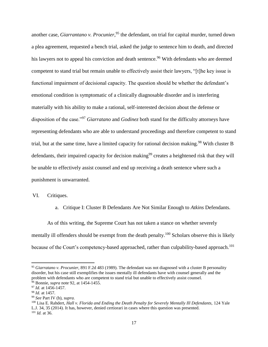another case, *Giarrantano v. Procunier*, <sup>95</sup> the defendant, on trial for capital murder, turned down a plea agreement, requested a bench trial, asked the judge to sentence him to death, and directed his lawyers not to appeal his conviction and death sentence.<sup>96</sup> With defendants who are deemed competent to stand trial but remain unable to effectively assist their lawyers, "[t]he key issue is functional impairment of decisional capacity. The question should be whether the defendant's emotional condition is symptomatic of a clinically diagnosable disorder and is interfering materially with his ability to make a rational, self-interested decision about the defense or disposition of the case."<sup>97</sup> *Giarratano* and *Godinez* both stand for the difficulty attorneys have representing defendants who are able to understand proceedings and therefore competent to stand trial, but at the same time, have a limited capacity for rational decision making.<sup>98</sup> With cluster B defendants, their impaired capacity for decision making<sup>99</sup> creates a heightened risk that they will be unable to effectively assist counsel and end up receiving a death sentence where such a punishment is unwarranted.

VI. Critiques.

a. Critique I: Cluster B Defendants Are Not Similar Enough to *Atkins* Defendants.

As of this writing, the Supreme Court has not taken a stance on whether severely mentally ill offenders should be exempt from the death penalty.<sup>100</sup> Scholars observe this is likely because of the Court's competency-based approached, rather than culpability-based approach.<sup>101</sup>

<sup>95</sup> *Giarratano v. Procunier,* 891 F.2d 483 (1989). The defendant was not diagnosed with a cluster B personality disorder, but his case still exemplifies the issues mentally ill defendants have with counsel generally and the problem with defendants who are competent to stand trial but unable to effectively assist counsel. <sup>96</sup> Bonnie, *supra* note 92, at 1454-1455.

<sup>97</sup> *Id.* at 1456-1457.

<sup>98</sup> *Id.* at 1457.

<sup>99</sup> *See* Part IV (b), *supra.*

<sup>100</sup> Lisa E. Rahdert, *Hall v. Florida and Ending the Death Penalty for Severely Mentally Ill Defendants,* 124 Yale L.J. 34, 35 (2014). It has, however, denied certiorari in cases where this question was presented. <sup>101</sup> *Id.* at 36.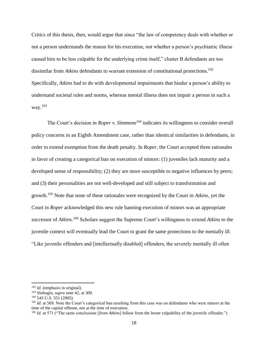Critics of this thesis, then, would argue that since "the law of competency deals with whether or not a person understands the reason for his execution, *not* whether a person's psychiatric illness caused him to be less culpable for the underlying crime itself," cluster B defendants are too dissimilar from *Atkins* defendants to warrant extension of constitutional protections.<sup>102</sup> Specifically, *Atkins* had to do with developmental impairments that hinder a person's ability to understand societal rules and norms, whereas mental illness does not impair a person in such a way. $^{103}$ 

The Court's decision in *Roper v. Simmons<sup>104</sup>* indicates its willingness to consider overall policy concerns in an Eighth Amendment case, rather than identical similarities in defendants, in order to extend exemption from the death penalty. In *Roper,* the Court accepted three rationales in favor of creating a categorical ban on execution of minors: (1) juveniles lack maturity and a developed sense of responsibility; (2) they are more susceptible to negative influences by peers; and (3) their personalities are not well-developed and still subject to transformation and growth. <sup>105</sup> Note that none of these rationales were recognized by the Court in *Atkins,* yet the Court in *Roper* acknowledged this new rule banning execution of minors was an appropriate successor of *Atkins.<sup>106</sup>* Scholars suggest the Supreme Court's willingness to extend *Atkins* to the juvenile context will eventually lead the Court to grant the same protections to the mentally ill: "Like juvenile offenders and [intellectually disabled] offenders, the severely mentally ill often

<sup>102</sup> *Id.* (emphasis in original).

<sup>103</sup> Slobogin, *supra* note 42, at 309.

 $104$  543 U.S. 551 (2005).

<sup>&</sup>lt;sup>105</sup> *Id.* at 569. Note the Court's categorical ban resulting from this case was on defendants who were minors at the time of the capital offense, not at the time of execution.

<sup>106</sup> *Id.* at 571 ("The same conclusions [from *Atkins*] follow from the lesser culpability of the juvenile offender.")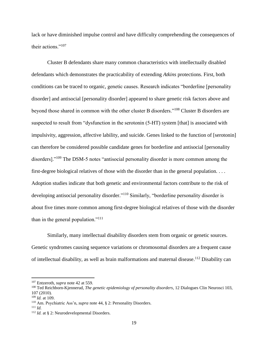lack or have diminished impulse control and have difficulty comprehending the consequences of their actions."<sup>107</sup>

Cluster B defendants share many common characteristics with intellectually disabled defendants which demonstrates the practicability of extending *Atkins* protections. First, both conditions can be traced to organic, genetic causes. Research indicates "borderline [personality disorder] and antisocial [personality disorder] appeared to share genetic risk factors above and beyond those shared in common with the other cluster B disorders."<sup>108</sup> Cluster B disorders are suspected to result from "dysfunction in the serotonin (5-HT) system [that] is associated with impulsivity, aggression, affective lability, and suicide. Genes linked to the function of [serotonin] can therefore be considered possible candidate genes for borderline and antisocial [personality disorders]."<sup>109</sup> The DSM-5 notes "antisocial personality disorder is more common among the first-degree biological relatives of those with the disorder than in the general population. . . . Adoption studies indicate that both genetic and environmental factors contribute to the risk of developing antisocial personality disorder."<sup>110</sup> Similarly, "borderline personality disorder is about five times more common among first-degree biological relatives of those with the disorder than in the general population."<sup>111</sup>

Similarly, many intellectual disability disorders stem from organic or genetic sources. Genetic syndromes causing sequence variations or chromosomal disorders are a frequent cause of intellectual disability, as well as brain malformations and maternal disease.<sup>112</sup> Disability can

<sup>107</sup> Entzeroth, *supra* note 42 at 559.

<sup>108</sup> Ted Reichborn-Kjennerud, *The genetic epidemiology of personality disorders*, 12 Dialogues Clin Neurosci 103, 107 (2010).

<sup>109</sup> *Id.* at 109.

<sup>110</sup> Am. Psychiatric Ass'n, *supra* note 44, § 2: Personality Disorders.

<sup>111</sup> *Id.*

<sup>&</sup>lt;sup>112</sup> *Id.* at § 2: Neurodevelopmental Disorders.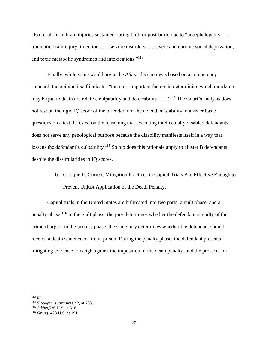also result from brain injuries sustained during birth or post-birth, due to "encephalopathy . . . traumatic brain injury, infections . . . seizure disorders . . . severe and chronic social deprivation, and toxic metabolic syndromes and intoxications."<sup>113</sup>

Finally, while some would argue the *Atkins* decision was based on a competency standard, the opinion itself indicates "the most important factors in determining which murderers may be put to death are relative culpability and deterrability  $\dots$   $\cdot$   $\cdot$ <sup>114</sup>. The Court's analysis does not rest on the rigid IQ score of the offender, nor the defendant's ability to answer basic questions on a test. It rested on the reasoning that executing intellectually disabled defendants does not serve any penological purpose because the disability manifests itself in a way that lessens the defendant's culpability.<sup>115</sup> So too does this rationale apply to cluster B defendants, despite the dissimilarities in IQ scores.

> b. Critique II: Current Mitigation Practices in Capital Trials Are Effective Enough to Prevent Unjust Application of the Death Penalty.

Capital trials in the United States are bifurcated into two parts: a guilt phase, and a penalty phase.<sup>116</sup> In the guilt phase, the jury determines whether the defendant is guilty of the crime charged; in the penalty phase, the same jury determines whether the defendant should receive a death sentence or life in prison. During the penalty phase, the defendant presents mitigating evidence to weigh against the imposition of the death penalty, and the prosecution

<sup>113</sup> *Id.*

<sup>114</sup> Slobogin, *supra* note 42, at 293.

<sup>115</sup> *Atkins*,536 U.S. at 318.

<sup>116</sup> *Gregg,* 428 U.S. at 191.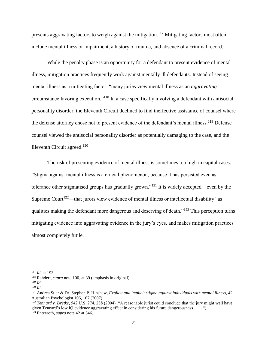presents aggravating factors to weigh against the mitigation.<sup>117</sup> Mitigating factors most often include mental illness or impairment, a history of trauma, and absence of a criminal record.

While the penalty phase is an opportunity for a defendant to present evidence of mental illness, mitigation practices frequently work against mentally ill defendants. Instead of seeing mental illness as a mitigating factor, "many juries view mental illness as an *aggravating* circumstance favoring execution."<sup>118</sup> In a case specifically involving a defendant with antisocial personality disorder, the Eleventh Circuit declined to find ineffective assistance of counsel where the defense attorney chose not to present evidence of the defendant's mental illness.<sup>119</sup> Defense counsel viewed the antisocial personality disorder as potentially damaging to the case, and the Eleventh Circuit agreed. $120$ 

The risk of presenting evidence of mental illness is sometimes too high in capital cases. "Stigma against mental illness is a crucial phenomenon, because it has persisted even as tolerance other stigmatised groups has gradually grown."<sup>121</sup> It is widely accepted—even by the Supreme Court<sup>122</sup>—that jurors view evidence of mental illness or intellectual disability "as qualities making the defendant more dangerous and deserving of death."<sup>123</sup> This perception turns mitigating evidence into aggravating evidence in the jury's eyes, and makes mitigation practices almost completely futile.

<sup>117</sup> *Id.* at 193.

<sup>118</sup> Rahdert, *supra* note 100, at 39 (emphasis in original).

<sup>119</sup> *Id.*

<sup>120</sup> *Id.*

<sup>121</sup> Andrea Stier & Dr. Stephen P. Hinshaw, *Explicit and implicit stigma against individuals with mental illness,* 42 Australian Psychologist 106, 107 (2007).

<sup>122</sup> *Tennard v. Dretke,* 542 U.S. 274, 288 (2004) ("A reasonable jurist could conclude that the jury might well have given Tennard's low IQ evidence aggravating effect in considering his future dangerousness . . . . "). <sup>123</sup> Entzeroth, *supra* note 42 at 546.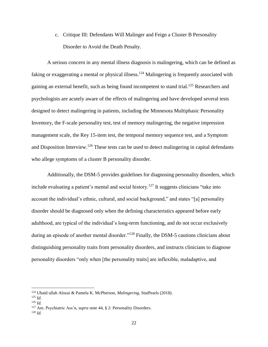c. Critique III: Defendants Will Malinger and Feign a Cluster B Personality Disorder to Avoid the Death Penalty.

A serious concern in any mental illness diagnosis is malingering, which can be defined as faking or exaggerating a mental or physical illness.<sup>124</sup> Malingering is frequently associated with gaining an external benefit, such as being found incompetent to stand trial.<sup>125</sup> Researchers and psychologists are acutely aware of the effects of malingering and have developed several tests designed to detect malingering in patients, including the Minnesota Multiphasic Personality Inventory, the F-scale personality test, test of memory malingering, the negative impression management scale, the Rey 15-item test, the temporal memory sequence test, and a Symptom and Disposition Interview.<sup>126</sup> These tests can be used to detect malingering in capital defendants who allege symptoms of a cluster B personality disorder.

Additionally, the DSM-5 provides guidelines for diagnosing personality disorders, which include evaluating a patient's mental and social history.<sup>127</sup> It suggests clinicians "take into account the individual's ethnic, cultural, and social background," and states "[a] personality disorder should be diagnosed only when the defining characteristics appeared before early adulthood, are typical of the individual's long-term functioning, and do not occur exclusively during an episode of another mental disorder."<sup>128</sup> Finally, the DSM-5 cautions clinicians about distinguishing personality traits from personality disorders, and instructs clinicians to diagnose personality disorders "only when [the personality traits] are inflexible, maladaptive, and

<sup>124</sup> Ubaid ullah Alozai & Pamela K. McPherson, *Malingering*, StatPearls (2018).

<sup>125</sup> *Id.*

<sup>126</sup> *Id.*

<sup>127</sup> Am. Psychiatric Ass'n, *supra* note 44, § 2: Personality Disorders.

<sup>128</sup> *Id.*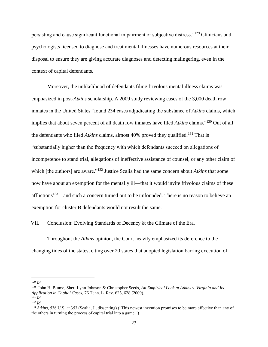persisting and cause significant functional impairment or subjective distress."<sup>129</sup> Clinicians and psychologists licensed to diagnose and treat mental illnesses have numerous resources at their disposal to ensure they are giving accurate diagnoses and detecting malingering, even in the context of capital defendants.

Moreover, the unlikelihood of defendants filing frivolous mental illness claims was emphasized in post-*Atkins* scholarship. A 2009 study reviewing cases of the 3,000 death row inmates in the United States "found 234 cases adjudicating the substance of *Atkins* claims, which implies that about seven percent of all death row inmates have filed *Atkins* claims."<sup>130</sup> Out of all the defendants who filed *Atkins* claims, almost 40% proved they qualified.<sup>131</sup> That is "substantially higher than the frequency with which defendants succeed on allegations of incompetence to stand trial, allegations of ineffective assistance of counsel, or any other claim of which [the authors] are aware."<sup>132</sup> Justice Scalia had the same concern about *Atkins* that some now have about an exemption for the mentally ill—that it would invite frivolous claims of these afflictions<sup>133</sup>—and such a concern turned out to be unfounded. There is no reason to believe an exemption for cluster B defendants would not result the same.

VII. Conclusion: Evolving Standards of Decency & the Climate of the Era.

Throughout the *Atkins* opinion, the Court heavily emphasized its deference to the changing tides of the states, citing over 20 states that adopted legislation barring execution of

<sup>129</sup> *Id.*

<sup>130</sup> John H. Blume, Sheri Lynn Johnson & Christopher Seeds, *An Empirical Look at Atkins v. Virginia and Its Application in Capital Cases,* 76 Tenn. L. Rev. 625, 628 (2009). <sup>131</sup> *Id.*

<sup>132</sup> *Id.*

<sup>133</sup> *Atkins,* 536 U.S. at 353 (Scalia, J., dissenting) ("This newest invention promises to be more effective than any of the others in turning the process of capital trial into a game.")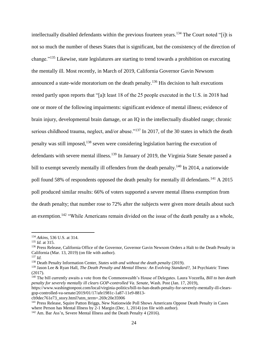intellectually disabled defendants within the previous fourteen years.<sup>134</sup> The Court noted "[i]t is not so much the number of theses States that is significant, but the consistency of the direction of change."<sup>135</sup> Likewise, state legislatures are starting to trend towards a prohibition on executing the mentally ill. Most recently, in March of 2019, California Governor Gavin Newsom announced a state-wide moratorium on the death penalty.<sup>136</sup> His decision to halt executions rested partly upon reports that "[a]t least 18 of the 25 people executed in the U.S. in 2018 had one or more of the following impairments: significant evidence of mental illness; evidence of brain injury, developmental brain damage, or an IQ in the intellectually disabled range; chronic serious childhood trauma, neglect, and/or abuse."<sup>137</sup> In 2017, of the 30 states in which the death penalty was still imposed,<sup>138</sup> seven were considering legislation barring the execution of defendants with severe mental illness.<sup>139</sup> In January of 2019, the Virginia State Senate passed a bill to exempt severely mentally ill offenders from the death penalty.<sup>140</sup> In 2014, a nationwide poll found 58% of respondents opposed the death penalty for mentally ill defendants.<sup>141</sup> A 2015 poll produced similar results: 66% of voters supported a severe mental illness exemption from the death penalty; that number rose to 72% after the subjects were given more details about such an exemption.<sup>142</sup> "While Americans remain divided on the issue of the death penalty as a whole,

<sup>134</sup> *Atkins,* 536 U.S. at 314.

<sup>135</sup> *Id.* at 315.

<sup>&</sup>lt;sup>136</sup> Press Release, California Office of the Governor, Governor Gavin Newsom Orders a Halt to the Death Penalty in California (Mar. 13, 2019) (on file with author).

<sup>137</sup> *Id.*

<sup>138</sup> Death Penalty Information Center, *States with and without the death penalty* (2019).

<sup>139</sup> Jason Lee & Ryan Hall, *The Death Penalty and Mental Illness: An Evolving Standard?,* 34 Psychiatric Times (2017).

<sup>140</sup> The bill currently awaits a vote from the Commonwealth's House of Delegates. Laura Vozzella, *Bill to ban death penalty for severely mentally ill clears GOP-controlled Va. Senate,* Wash. Post (Jan. 17, 2019),

https://www.washingtonpost.com/local/virginia-politics/bill-to-ban-death-penalty-for-severely-mentally-ill-clearsgop-controlled-va-senate/2019/01/17/afe1981c-1a87-11e9-8813-

cb9dec761e73\_story.html?utm\_term=.269c20e35906

<sup>141</sup> Press Release, Squire Patton Briggs, New Nationwide Poll Shows Americans Oppose Death Penalty in Cases where Person has Mental Illness by 2-1 Margin (Dec. 1, 2014) (on file with author).

<sup>142</sup> Am. Bar Ass'n, Severe Mental Illness and the Death Penalty 4 (2016).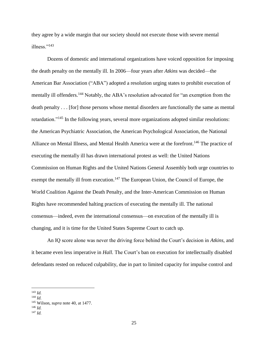they agree by a wide margin that our society should not execute those with severe mental illness."<sup>143</sup>

Dozens of domestic and international organizations have voiced opposition for imposing the death penalty on the mentally ill. In 2006—four years after *Atkins* was decided—the American Bar Association ("ABA") adopted a resolution urging states to prohibit execution of mentally ill offenders.<sup>144</sup> Notably, the ABA's resolution advocated for "an exemption from the death penalty . . . [for] those persons whose mental disorders are functionally the same as mental retardation."<sup>145</sup> In the following years, several more organizations adopted similar resolutions: the American Psychiatric Association, the American Psychological Association, the National Alliance on Mental Illness, and Mental Health America were at the forefront.<sup>146</sup> The practice of executing the mentally ill has drawn international protest as well: the United Nations Commission on Human Rights and the United Nations General Assembly both urge countries to exempt the mentally ill from execution.<sup>147</sup> The European Union, the Council of Europe, the World Coalition Against the Death Penalty, and the Inter-American Commission on Human Rights have recommended halting practices of executing the mentally ill. The national consensus—indeed, even the international consensus—on execution of the mentally ill is changing, and it is time for the United States Supreme Court to catch up.

An IQ score alone was never the driving force behind the Court's decision in *Atkins*, and it became even less imperative in *Hall.* The Court's ban on execution for intellectually disabled defendants rested on reduced culpability, due in part to limited capacity for impulse control and

l <sup>143</sup> *Id.*

<sup>144</sup> *Id.*

<sup>145</sup> Wilson, *supra* note 40, at 1477.

<sup>146</sup> *Id.* <sup>147</sup> *Id.*